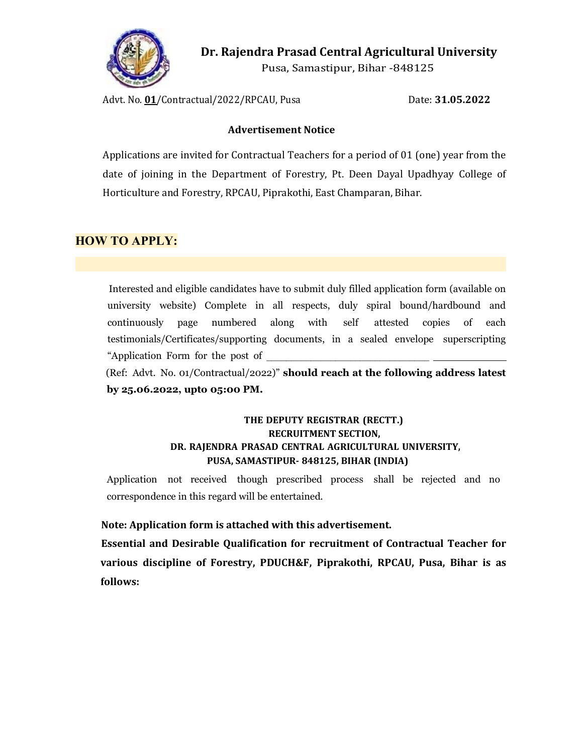

Dr. Rajendra Prasad Central Agricultural University

Pusa, Samastipur, Bihar -848125

Advt. No. 01/Contractual/2022/RPCAU, Pusa Date: 31.05.2022

### Advertisement Notice

Applications are invited for Contractual Teachers for a period of 01 (one) year from the date of joining in the Department of Forestry, Pt. Deen Dayal Upadhyay College of Horticulture and Forestry, RPCAU, Piprakothi, East Champaran, Bihar.

## HOW TO APPLY:

Interested and eligible candidates have to submit duly filled application form (available on university website) Complete in all respects, duly spiral bound/hardbound and continuously page numbered along with self attested copies of each testimonials/Certificates/supporting documents, in a sealed envelope superscripting "Application Form for the post of \_\_\_\_\_\_\_\_\_\_\_\_\_\_\_\_\_\_\_\_\_\_\_\_\_\_\_\_\_\_\_\_\_

 (Ref: Advt. No. 01/Contractual/2022)" should reach at the following address latest by 25.06.2022, upto 05:00 PM.

## THE DEPUTY REGISTRAR (RECTT.) RECRUITMENT SECTION, DR. RAJENDRA PRASAD CENTRAL AGRICULTURAL UNIVERSITY, PUSA, SAMASTIPUR- 848125, BIHAR (INDIA)

Application not received though prescribed process shall be rejected and no correspondence in this regard will be entertained.

### Note: Application form is attached with this advertisement.

 Essential and Desirable Qualification for recruitment of Contractual Teacher for various discipline of Forestry, PDUCH&F, Piprakothi, RPCAU, Pusa, Bihar is as follows: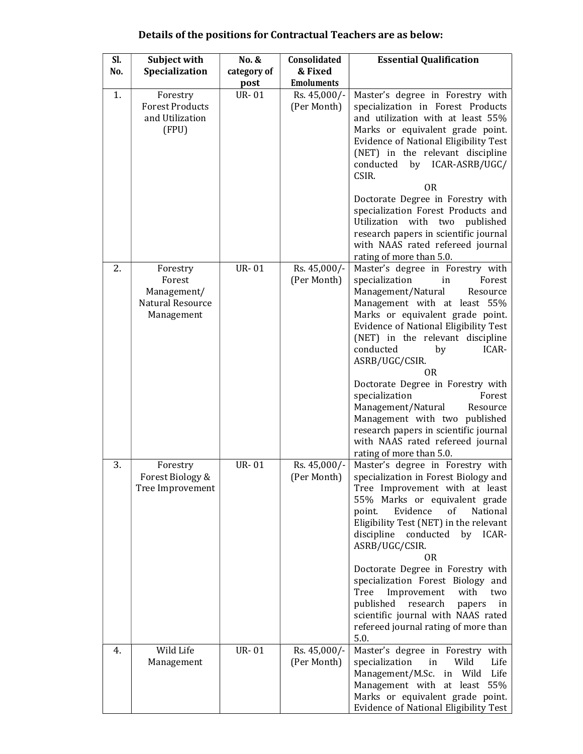| Sl.<br>No. | Subject with<br>Specialization                                      | No. &<br>category of | Consolidated<br>& Fixed     | <b>Essential Qualification</b>                                                                                                                                                                                                                                                                                                                                                                                                                                                                                                                                                            |
|------------|---------------------------------------------------------------------|----------------------|-----------------------------|-------------------------------------------------------------------------------------------------------------------------------------------------------------------------------------------------------------------------------------------------------------------------------------------------------------------------------------------------------------------------------------------------------------------------------------------------------------------------------------------------------------------------------------------------------------------------------------------|
|            |                                                                     | post                 | <b>Emoluments</b>           |                                                                                                                                                                                                                                                                                                                                                                                                                                                                                                                                                                                           |
| 1.         | Forestry<br><b>Forest Products</b><br>and Utilization<br>(FPU)      | <b>UR-01</b>         | Rs. 45,000/-<br>(Per Month) | Master's degree in Forestry with<br>specialization in Forest Products<br>and utilization with at least 55%<br>Marks or equivalent grade point.<br>Evidence of National Eligibility Test<br>(NET) in the relevant discipline<br>by ICAR-ASRB/UGC/<br>conducted<br>CSIR.<br><b>OR</b><br>Doctorate Degree in Forestry with<br>specialization Forest Products and<br>Utilization<br>with two<br>published<br>research papers in scientific journal<br>with NAAS rated refereed journal                                                                                                       |
| 2.         | Forestry<br>Forest<br>Management/<br>Natural Resource<br>Management | <b>UR-01</b>         | Rs. 45,000/-<br>(Per Month) | rating of more than 5.0.<br>Master's degree in Forestry with<br>specialization<br>Forest<br>in<br>Management/Natural<br>Resource<br>Management with at least 55%<br>Marks or equivalent grade point.<br>Evidence of National Eligibility Test<br>(NET) in the relevant discipline<br>conducted<br>ICAR-<br>by<br>ASRB/UGC/CSIR.<br><b>OR</b><br>Doctorate Degree in Forestry with<br>specialization<br>Forest<br>Management/Natural<br>Resource<br>Management with two published<br>research papers in scientific journal<br>with NAAS rated refereed journal<br>rating of more than 5.0. |
| 3.         | Forestry<br>Forest Biology &<br>Tree Improvement                    | <b>UR-01</b>         | Rs. 45,000/-<br>(Per Month) | Master's degree in Forestry with<br>specialization in Forest Biology and<br>Tree Improvement with at least<br>55% Marks or equivalent grade<br>Evidence<br>of<br>point.<br>National<br>Eligibility Test (NET) in the relevant<br>discipline conducted by ICAR-<br>ASRB/UGC/CSIR.<br><b>OR</b><br>Doctorate Degree in Forestry with<br>specialization Forest Biology and<br>Tree<br>Improvement<br>with<br>two<br>published<br>research<br>papers<br>in<br>scientific journal with NAAS rated<br>refereed journal rating of more than<br>5.0.                                              |
| 4.         | Wild Life<br>Management                                             | <b>UR-01</b>         | Rs. 45,000/-<br>(Per Month) | Master's degree in Forestry with<br>specialization<br>Wild<br>Life<br>in<br>Management/M.Sc. in Wild<br>Life<br>Management with at least 55%<br>Marks or equivalent grade point.<br>Evidence of National Eligibility Test                                                                                                                                                                                                                                                                                                                                                                 |

# Details of the positions for Contractual Teachers are as below: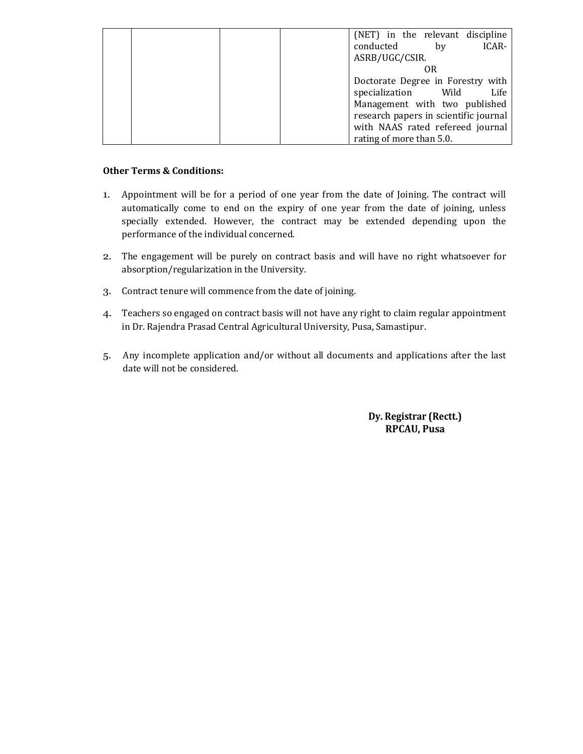|  |  |                          |  |                     | (NET) in the relevant discipline      |
|--|--|--------------------------|--|---------------------|---------------------------------------|
|  |  | conducted                |  | bv                  | ICAR-                                 |
|  |  | ASRB/UGC/CSIR.           |  |                     |                                       |
|  |  |                          |  | OR                  |                                       |
|  |  |                          |  |                     | Doctorate Degree in Forestry with     |
|  |  |                          |  | specialization Wild | Life                                  |
|  |  |                          |  |                     | Management with two published         |
|  |  |                          |  |                     | research papers in scientific journal |
|  |  |                          |  |                     | with NAAS rated refereed journal      |
|  |  | rating of more than 5.0. |  |                     |                                       |

#### Other Terms & Conditions:

- 1. Appointment will be for a period of one year from the date of Joining. The contract will automatically come to end on the expiry of one year from the date of joining, unless specially extended. However, the contract may be extended depending upon the performance of the individual concerned.
- 2. The engagement will be purely on contract basis and will have no right whatsoever for absorption/regularization in the University.
- 3. Contract tenure will commence from the date of joining.
- 4. Teachers so engaged on contract basis will not have any right to claim regular appointment in Dr. Rajendra Prasad Central Agricultural University, Pusa, Samastipur.
- 5. Any incomplete application and/or without all documents and applications after the last date will not be considered.

### Dy. Registrar (Rectt.) RPCAU, Pusa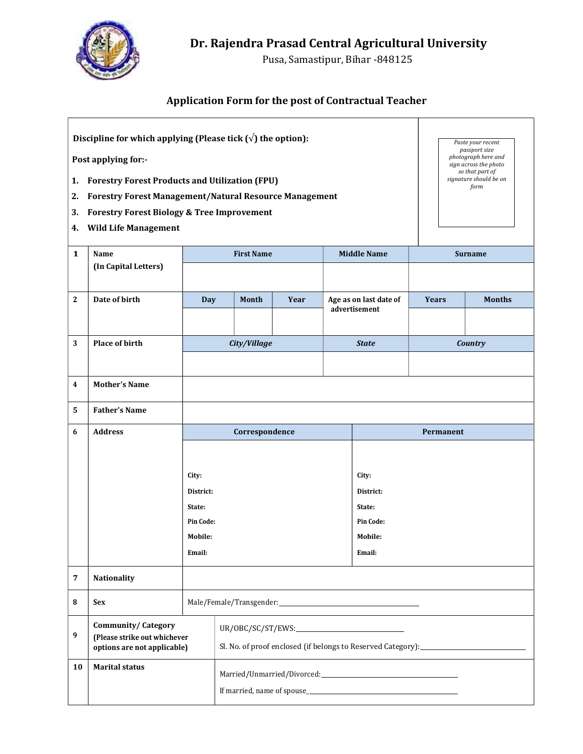

Pusa, Samastipur, Bihar -848125

# Application Form for the post of Contractual Teacher

| Discipline for which applying (Please tick $(\sqrt{})$ the option):<br>Post applying for:-<br>1. Forestry Forest Products and Utilization (FPU)<br><b>Forestry Forest Management/Natural Resource Management</b><br>2.<br><b>Forestry Forest Biology &amp; Tree Improvement</b><br>3.<br><b>Wild Life Management</b><br>4. |                                                                                                                                                                                                   |                                                                       |                |  |  |                                                                |                | Paste your recent<br>passport size<br>photograph here and<br>sign across the photo<br>so that part of<br>signature should be on<br>form |  |  |
|----------------------------------------------------------------------------------------------------------------------------------------------------------------------------------------------------------------------------------------------------------------------------------------------------------------------------|---------------------------------------------------------------------------------------------------------------------------------------------------------------------------------------------------|-----------------------------------------------------------------------|----------------|--|--|----------------------------------------------------------------|----------------|-----------------------------------------------------------------------------------------------------------------------------------------|--|--|
| $\mathbf{1}$                                                                                                                                                                                                                                                                                                               | Name<br>(In Capital Letters)                                                                                                                                                                      | <b>First Name</b>                                                     |                |  |  | <b>Middle Name</b>                                             | <b>Surname</b> |                                                                                                                                         |  |  |
| $\boldsymbol{2}$                                                                                                                                                                                                                                                                                                           | Date of birth                                                                                                                                                                                     | <b>Day</b>                                                            | Month<br>Year  |  |  | Age as on last date of<br>advertisement                        | <b>Years</b>   | <b>Months</b>                                                                                                                           |  |  |
| 3                                                                                                                                                                                                                                                                                                                          | Place of birth                                                                                                                                                                                    |                                                                       | City/Village   |  |  | <b>State</b>                                                   |                | Country                                                                                                                                 |  |  |
| $\boldsymbol{4}$                                                                                                                                                                                                                                                                                                           | <b>Mother's Name</b>                                                                                                                                                                              |                                                                       |                |  |  |                                                                |                |                                                                                                                                         |  |  |
| 5                                                                                                                                                                                                                                                                                                                          | <b>Father's Name</b>                                                                                                                                                                              |                                                                       |                |  |  |                                                                |                |                                                                                                                                         |  |  |
| 6                                                                                                                                                                                                                                                                                                                          | <b>Address</b>                                                                                                                                                                                    |                                                                       | Correspondence |  |  |                                                                | Permanent      |                                                                                                                                         |  |  |
|                                                                                                                                                                                                                                                                                                                            |                                                                                                                                                                                                   | City:<br>District:<br>State:<br><b>Pin Code:</b><br>Mobile:<br>Email: |                |  |  | City:<br>District:<br>State:<br>Pin Code:<br>Mobile:<br>Email: |                |                                                                                                                                         |  |  |
| $\overline{7}$                                                                                                                                                                                                                                                                                                             | <b>Nationality</b>                                                                                                                                                                                |                                                                       |                |  |  |                                                                |                |                                                                                                                                         |  |  |
| ${\bf 8}$                                                                                                                                                                                                                                                                                                                  | <b>Sex</b>                                                                                                                                                                                        | Male/Female/Transgender: Male / Female / Transgender:                 |                |  |  |                                                                |                |                                                                                                                                         |  |  |
| 9                                                                                                                                                                                                                                                                                                                          | <b>Community/Category</b><br>UR/OBC/SC/ST/EWS:<br>(Please strike out whichever<br>Sl. No. of proof enclosed (if belongs to Reserved Category): ___________________<br>options are not applicable) |                                                                       |                |  |  |                                                                |                |                                                                                                                                         |  |  |
| 10                                                                                                                                                                                                                                                                                                                         | <b>Marital status</b>                                                                                                                                                                             |                                                                       |                |  |  |                                                                |                |                                                                                                                                         |  |  |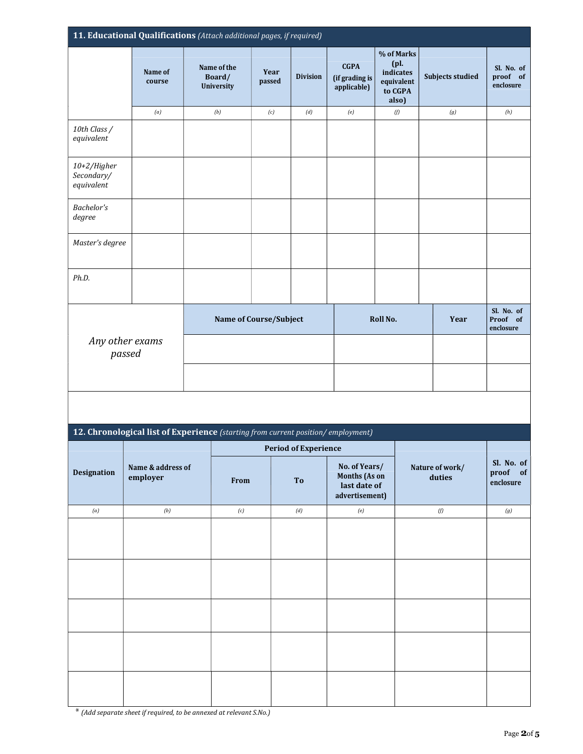|                                         |                   | 11. Educational Qualifications (Attach additional pages, if required)            |                        |                             |                                              |                                                                       |                  |                                     |
|-----------------------------------------|-------------------|----------------------------------------------------------------------------------|------------------------|-----------------------------|----------------------------------------------|-----------------------------------------------------------------------|------------------|-------------------------------------|
|                                         | Name of<br>course | Name of the<br>Board/<br>University                                              | Year<br>passed         | <b>Division</b>             | <b>CGPA</b><br>(if grading is<br>applicable) | % of Marks<br>$(pl)$ .<br>indicates<br>equivalent<br>to CGPA<br>also) | Subjects studied | Sl. No. of<br>proof of<br>enclosure |
|                                         | (a)               | $\left( b\right)$                                                                | $\left( c\right)$      | $\left( d\right)$           | $\left( e\right)$                            | $\emph{f}$                                                            | $\left(g\right)$ | (h)                                 |
| 10th Class /<br>equivalent              |                   |                                                                                  |                        |                             |                                              |                                                                       |                  |                                     |
| 10+2/Higher<br>Secondary/<br>equivalent |                   |                                                                                  |                        |                             |                                              |                                                                       |                  |                                     |
| <b>Bachelor's</b><br>degree             |                   |                                                                                  |                        |                             |                                              |                                                                       |                  |                                     |
| Master's degree                         |                   |                                                                                  |                        |                             |                                              |                                                                       |                  |                                     |
| Ph.D.                                   |                   |                                                                                  |                        |                             |                                              |                                                                       |                  |                                     |
|                                         |                   |                                                                                  | Name of Course/Subject |                             |                                              | Roll No.                                                              | Year             | Sl. No. of<br>Proof of<br>enclosure |
| Any other exams<br>passed               |                   |                                                                                  |                        |                             |                                              |                                                                       |                  |                                     |
|                                         |                   |                                                                                  |                        |                             |                                              |                                                                       |                  |                                     |
|                                         |                   |                                                                                  |                        |                             |                                              |                                                                       |                  |                                     |
|                                         |                   | 12. Chronological list of Experience (starting from current position/employment) |                        |                             |                                              |                                                                       |                  |                                     |
|                                         |                   |                                                                                  |                        | <b>Period of Experience</b> |                                              |                                                                       |                  |                                     |

|             |                               |      | <b>Period of Experience</b> |                                                                  |                           |                                     |  |
|-------------|-------------------------------|------|-----------------------------|------------------------------------------------------------------|---------------------------|-------------------------------------|--|
| Designation | Name & address of<br>employer | From | <b>To</b>                   | No. of Years/<br>Months (As on<br>last date of<br>advertisement) | Nature of work/<br>duties | Sl. No. of<br>proof of<br>enclosure |  |
| (a)         | $\left( b\right)$             | (c)  | (d)                         | (e)                                                              | $\emph{f}$                | (g)                                 |  |
|             |                               |      |                             |                                                                  |                           |                                     |  |
|             |                               |      |                             |                                                                  |                           |                                     |  |
|             |                               |      |                             |                                                                  |                           |                                     |  |
|             |                               |      |                             |                                                                  |                           |                                     |  |
|             |                               |      |                             |                                                                  |                           |                                     |  |

\* (Add separate sheet if required, to be annexed at relevant S.No.)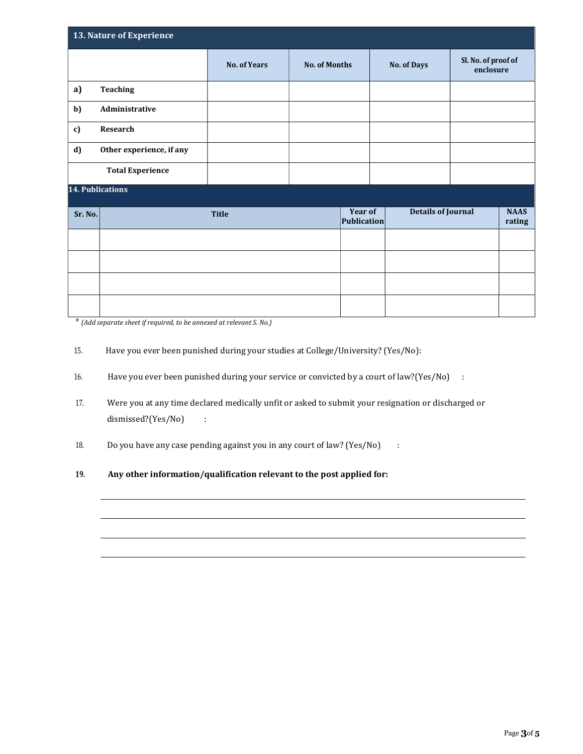| 13. Nature of Experience |                          |                     |                      |                        |                           |                                  |                       |  |
|--------------------------|--------------------------|---------------------|----------------------|------------------------|---------------------------|----------------------------------|-----------------------|--|
|                          |                          | <b>No. of Years</b> | <b>No. of Months</b> |                        | No. of Days               | Sl. No. of proof of<br>enclosure |                       |  |
| a)                       | <b>Teaching</b>          |                     |                      |                        |                           |                                  |                       |  |
| b)                       | Administrative           |                     |                      |                        |                           |                                  |                       |  |
| c)                       | Research                 |                     |                      |                        |                           |                                  |                       |  |
| d)                       | Other experience, if any |                     |                      |                        |                           |                                  |                       |  |
|                          | <b>Total Experience</b>  |                     |                      |                        |                           |                                  |                       |  |
|                          | <b>14. Publications</b>  |                     |                      |                        |                           |                                  |                       |  |
| Sr. No.                  |                          | <b>Title</b>        |                      | Year of<br>Publication | <b>Details of Journal</b> |                                  | <b>NAAS</b><br>rating |  |
|                          |                          |                     |                      |                        |                           |                                  |                       |  |
|                          |                          |                     |                      |                        |                           |                                  |                       |  |
|                          |                          |                     |                      |                        |                           |                                  |                       |  |
|                          |                          |                     |                      |                        |                           |                                  |                       |  |

\* (Add separate sheet if required, to be annexed at relevant S. No.)

- 15. Have you ever been punished during your studies at College/University? (Yes/No):
- 16. Have you ever been punished during your service or convicted by a court of law?(Yes/No) :
- 17. Were you at any time declared medically unfit or asked to submit your resignation or discharged or dismissed?(Yes/No) :
- 18. Do you have any case pending against you in any court of law? (Yes/No) :
- 19. Any other information/qualification relevant to the post applied for: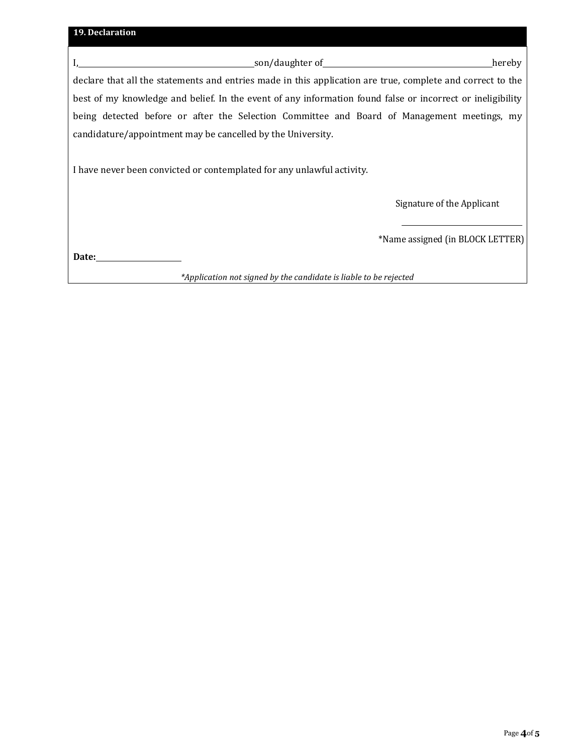| 19. Declaration                                                                                            |                                  |
|------------------------------------------------------------------------------------------------------------|----------------------------------|
| <b>Example 2018</b> Son/daughter of <b>Example 2019</b> Son/daughter of <b>Example 2019</b>                | hereby                           |
| declare that all the statements and entries made in this application are true, complete and correct to the |                                  |
| best of my knowledge and belief. In the event of any information found false or incorrect or ineligibility |                                  |
| being detected before or after the Selection Committee and Board of Management meetings, my                |                                  |
| candidature/appointment may be cancelled by the University.                                                |                                  |
| I have never been convicted or contemplated for any unlawful activity.                                     |                                  |
|                                                                                                            | Signature of the Applicant       |
|                                                                                                            | *Name assigned (in BLOCK LETTER) |
| Date:                                                                                                      |                                  |
| *Application not signed by the candidate is liable to be rejected                                          |                                  |